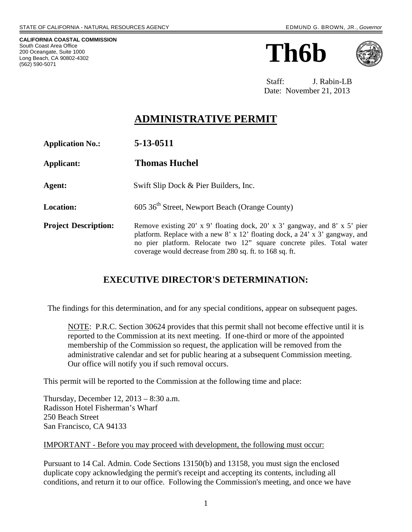**CALIFORNIA COASTAL COMMISSION**  South Coast Area Office 200 Oceangate, Suite 1000 Long Beach, CA 90802-4302 (562) 590-5071

# **Th6b**



 Staff: J. Rabin-LB Date: November 21, 2013

### **ADMINISTRATIVE PERMIT**

| <b>Application No.:</b>     | 5-13-0511                                                                                                                                                                                                                                                                                      |
|-----------------------------|------------------------------------------------------------------------------------------------------------------------------------------------------------------------------------------------------------------------------------------------------------------------------------------------|
| Applicant:                  | <b>Thomas Huchel</b>                                                                                                                                                                                                                                                                           |
| Agent:                      | Swift Slip Dock & Pier Builders, Inc.                                                                                                                                                                                                                                                          |
| <b>Location:</b>            | 605 36 <sup>th</sup> Street, Newport Beach (Orange County)                                                                                                                                                                                                                                     |
| <b>Project Description:</b> | Remove existing 20' x 9' floating dock, 20' x 3' gangway, and 8' x 5' pier<br>platform. Replace with a new 8' x 12' floating dock, a 24' x 3' gangway, and<br>no pier platform. Relocate two 12" square concrete piles. Total water<br>coverage would decrease from 280 sq. ft. to 168 sq. ft. |

#### **EXECUTIVE DIRECTOR'S DETERMINATION:**

The findings for this determination, and for any special conditions, appear on subsequent pages.

NOTE: P.R.C. Section 30624 provides that this permit shall not become effective until it is reported to the Commission at its next meeting. If one-third or more of the appointed membership of the Commission so request, the application will be removed from the administrative calendar and set for public hearing at a subsequent Commission meeting. Our office will notify you if such removal occurs.

This permit will be reported to the Commission at the following time and place:

Thursday, December 12, 2013 – 8:30 a.m. Radisson Hotel Fisherman's Wharf 250 Beach Street San Francisco, CA 94133

IMPORTANT - Before you may proceed with development, the following must occur:

Pursuant to 14 Cal. Admin. Code Sections 13150(b) and 13158, you must sign the enclosed duplicate copy acknowledging the permit's receipt and accepting its contents, including all conditions, and return it to our office. Following the Commission's meeting, and once we have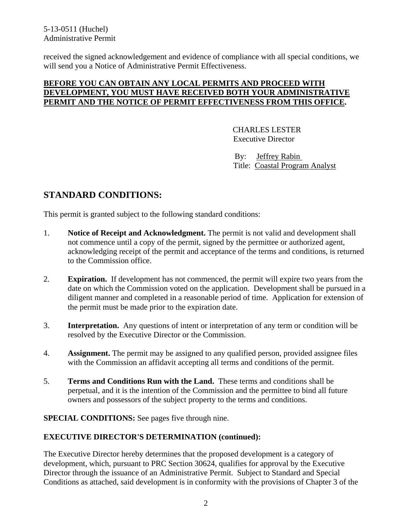received the signed acknowledgement and evidence of compliance with all special conditions, we will send you a Notice of Administrative Permit Effectiveness.

#### **BEFORE YOU CAN OBTAIN ANY LOCAL PERMITS AND PROCEED WITH DEVELOPMENT, YOU MUST HAVE RECEIVED BOTH YOUR ADMINISTRATIVE PERMIT AND THE NOTICE OF PERMIT EFFECTIVENESS FROM THIS OFFICE.**

 CHARLES LESTER Executive Director

 By: Jeffrey Rabin Title: Coastal Program Analyst

#### **STANDARD CONDITIONS:**

This permit is granted subject to the following standard conditions:

- 1. **Notice of Receipt and Acknowledgment.** The permit is not valid and development shall not commence until a copy of the permit, signed by the permittee or authorized agent, acknowledging receipt of the permit and acceptance of the terms and conditions, is returned to the Commission office.
- 2. **Expiration.** If development has not commenced, the permit will expire two years from the date on which the Commission voted on the application. Development shall be pursued in a diligent manner and completed in a reasonable period of time. Application for extension of the permit must be made prior to the expiration date.
- 3. **Interpretation.** Any questions of intent or interpretation of any term or condition will be resolved by the Executive Director or the Commission.
- 4. **Assignment.** The permit may be assigned to any qualified person, provided assignee files with the Commission an affidavit accepting all terms and conditions of the permit.
- 5. **Terms and Conditions Run with the Land.** These terms and conditions shall be perpetual, and it is the intention of the Commission and the permittee to bind all future owners and possessors of the subject property to the terms and conditions.

**SPECIAL CONDITIONS:** See pages five through nine.

#### **EXECUTIVE DIRECTOR'S DETERMINATION (continued):**

The Executive Director hereby determines that the proposed development is a category of development, which, pursuant to PRC Section 30624, qualifies for approval by the Executive Director through the issuance of an Administrative Permit. Subject to Standard and Special Conditions as attached, said development is in conformity with the provisions of Chapter 3 of the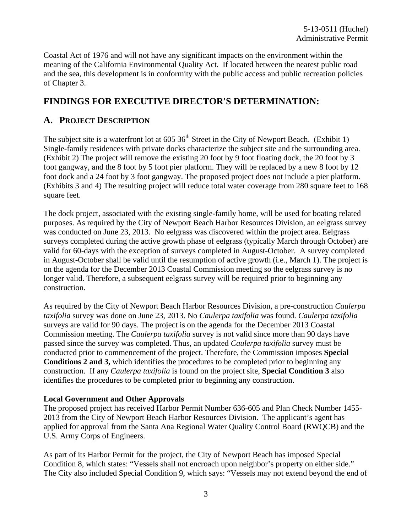Coastal Act of 1976 and will not have any significant impacts on the environment within the meaning of the California Environmental Quality Act. If located between the nearest public road and the sea, this development is in conformity with the public access and public recreation policies of Chapter 3.

#### **FINDINGS FOR EXECUTIVE DIRECTOR'S DETERMINATION:**

#### **A. PROJECT DESCRIPTION**

The subject site is a waterfront lot at  $605 \times 36^{th}$  Street in the City of Newport Beach. (Exhibit 1) Single-family residences with private docks characterize the subject site and the surrounding area. (Exhibit 2) The project will remove the existing 20 foot by 9 foot floating dock, the 20 foot by 3 foot gangway, and the 8 foot by 5 foot pier platform. They will be replaced by a new 8 foot by 12 foot dock and a 24 foot by 3 foot gangway. The proposed project does not include a pier platform. (Exhibits 3 and 4) The resulting project will reduce total water coverage from 280 square feet to 168 square feet.

The dock project, associated with the existing single-family home, will be used for boating related purposes. As required by the City of Newport Beach Harbor Resources Division, an eelgrass survey was conducted on June 23, 2013. No eelgrass was discovered within the project area. Eelgrass surveys completed during the active growth phase of eelgrass (typically March through October) are valid for 60-days with the exception of surveys completed in August-October. A survey completed in August-October shall be valid until the resumption of active growth (i.e., March 1). The project is on the agenda for the December 2013 Coastal Commission meeting so the eelgrass survey is no longer valid. Therefore, a subsequent eelgrass survey will be required prior to beginning any construction.

As required by the City of Newport Beach Harbor Resources Division, a pre-construction *Caulerpa taxifolia* survey was done on June 23, 2013. No *Caulerpa taxifolia* was found. *Caulerpa taxifolia*  surveys are valid for 90 days. The project is on the agenda for the December 2013 Coastal Commission meeting. The *Caulerpa taxifolia* survey is not valid since more than 90 days have passed since the survey was completed. Thus, an updated *Caulerpa taxifolia* survey must be conducted prior to commencement of the project. Therefore, the Commission imposes **Special Conditions 2 and 3,** which identifies the procedures to be completed prior to beginning any construction. If any *Caulerpa taxifolia* is found on the project site, **Special Condition 3** also identifies the procedures to be completed prior to beginning any construction.

#### **Local Government and Other Approvals**

The proposed project has received Harbor Permit Number 636-605 and Plan Check Number 1455- 2013 from the City of Newport Beach Harbor Resources Division.The applicant's agent has applied for approval from the Santa Ana Regional Water Quality Control Board (RWQCB) and the U.S. Army Corps of Engineers.

As part of its Harbor Permit for the project, the City of Newport Beach has imposed Special Condition 8, which states: "Vessels shall not encroach upon neighbor's property on either side." The City also included Special Condition 9, which says: "Vessels may not extend beyond the end of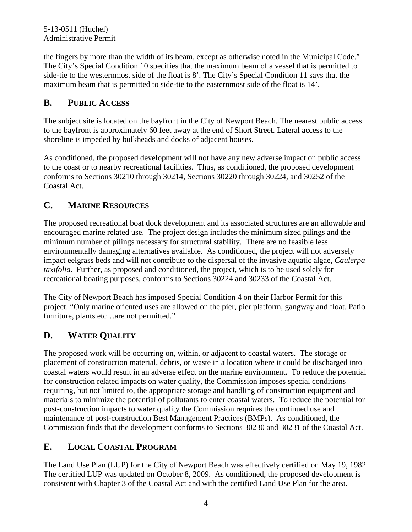5-13-0511 (Huchel) Administrative Permit

the fingers by more than the width of its beam, except as otherwise noted in the Municipal Code." The City's Special Condition 10 specifies that the maximum beam of a vessel that is permitted to side-tie to the westernmost side of the float is 8'. The City's Special Condition 11 says that the maximum beam that is permitted to side-tie to the easternmost side of the float is 14'.

#### **B. PUBLIC ACCESS**

The subject site is located on the bayfront in the City of Newport Beach. The nearest public access to the bayfront is approximately 60 feet away at the end of Short Street. Lateral access to the shoreline is impeded by bulkheads and docks of adjacent houses.

As conditioned, the proposed development will not have any new adverse impact on public access to the coast or to nearby recreational facilities. Thus, as conditioned, the proposed development conforms to Sections 30210 through 30214, Sections 30220 through 30224, and 30252 of the Coastal Act.

#### **C. MARINE RESOURCES**

The proposed recreational boat dock development and its associated structures are an allowable and encouraged marine related use. The project design includes the minimum sized pilings and the minimum number of pilings necessary for structural stability. There are no feasible less environmentally damaging alternatives available. As conditioned, the project will not adversely impact eelgrass beds and will not contribute to the dispersal of the invasive aquatic algae, *Caulerpa taxifolia*. Further, as proposed and conditioned, the project, which is to be used solely for recreational boating purposes, conforms to Sections 30224 and 30233 of the Coastal Act.

The City of Newport Beach has imposed Special Condition 4 on their Harbor Permit for this project. "Only marine oriented uses are allowed on the pier, pier platform, gangway and float. Patio furniture, plants etc...are not permitted."

#### **D. WATER QUALITY**

The proposed work will be occurring on, within, or adjacent to coastal waters. The storage or placement of construction material, debris, or waste in a location where it could be discharged into coastal waters would result in an adverse effect on the marine environment. To reduce the potential for construction related impacts on water quality, the Commission imposes special conditions requiring, but not limited to, the appropriate storage and handling of construction equipment and materials to minimize the potential of pollutants to enter coastal waters. To reduce the potential for post-construction impacts to water quality the Commission requires the continued use and maintenance of post-construction Best Management Practices (BMPs). As conditioned, the Commission finds that the development conforms to Sections 30230 and 30231 of the Coastal Act.

#### **E. LOCAL COASTAL PROGRAM**

The Land Use Plan (LUP) for the City of Newport Beach was effectively certified on May 19, 1982. The certified LUP was updated on October 8, 2009. As conditioned, the proposed development is consistent with Chapter 3 of the Coastal Act and with the certified Land Use Plan for the area.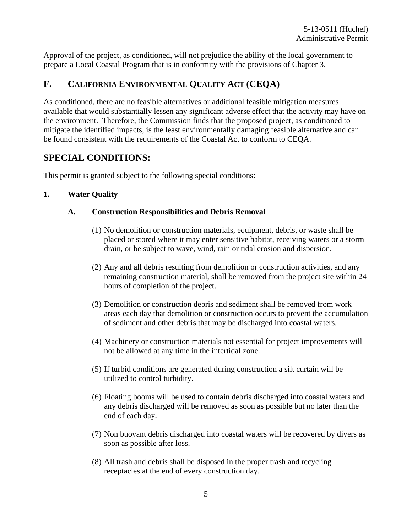Approval of the project, as conditioned, will not prejudice the ability of the local government to prepare a Local Coastal Program that is in conformity with the provisions of Chapter 3.

#### **F. CALIFORNIA ENVIRONMENTAL QUALITY ACT (CEQA)**

As conditioned, there are no feasible alternatives or additional feasible mitigation measures available that would substantially lessen any significant adverse effect that the activity may have on the environment. Therefore, the Commission finds that the proposed project, as conditioned to mitigate the identified impacts, is the least environmentally damaging feasible alternative and can be found consistent with the requirements of the Coastal Act to conform to CEQA.

#### **SPECIAL CONDITIONS:**

This permit is granted subject to the following special conditions:

#### **1. Water Quality**

#### **A. Construction Responsibilities and Debris Removal**

- (1) No demolition or construction materials, equipment, debris, or waste shall be placed or stored where it may enter sensitive habitat, receiving waters or a storm drain, or be subject to wave, wind, rain or tidal erosion and dispersion.
- (2) Any and all debris resulting from demolition or construction activities, and any remaining construction material, shall be removed from the project site within 24 hours of completion of the project.
- (3) Demolition or construction debris and sediment shall be removed from work areas each day that demolition or construction occurs to prevent the accumulation of sediment and other debris that may be discharged into coastal waters.
- (4) Machinery or construction materials not essential for project improvements will not be allowed at any time in the intertidal zone.
- (5) If turbid conditions are generated during construction a silt curtain will be utilized to control turbidity.
- (6) Floating booms will be used to contain debris discharged into coastal waters and any debris discharged will be removed as soon as possible but no later than the end of each day.
- (7) Non buoyant debris discharged into coastal waters will be recovered by divers as soon as possible after loss.
- (8) All trash and debris shall be disposed in the proper trash and recycling receptacles at the end of every construction day.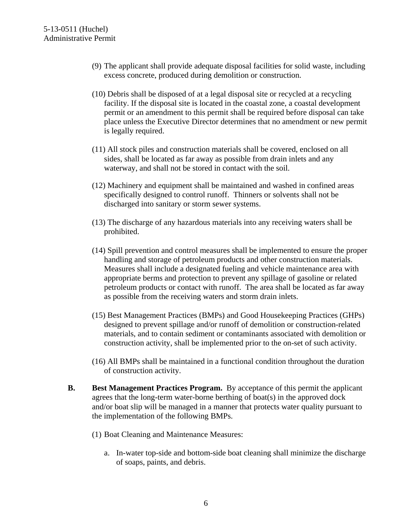- (9) The applicant shall provide adequate disposal facilities for solid waste, including excess concrete, produced during demolition or construction.
- (10) Debris shall be disposed of at a legal disposal site or recycled at a recycling facility. If the disposal site is located in the coastal zone, a coastal development permit or an amendment to this permit shall be required before disposal can take place unless the Executive Director determines that no amendment or new permit is legally required.
- (11) All stock piles and construction materials shall be covered, enclosed on all sides, shall be located as far away as possible from drain inlets and any waterway, and shall not be stored in contact with the soil.
- (12) Machinery and equipment shall be maintained and washed in confined areas specifically designed to control runoff. Thinners or solvents shall not be discharged into sanitary or storm sewer systems.
- (13) The discharge of any hazardous materials into any receiving waters shall be prohibited.
- (14) Spill prevention and control measures shall be implemented to ensure the proper handling and storage of petroleum products and other construction materials. Measures shall include a designated fueling and vehicle maintenance area with appropriate berms and protection to prevent any spillage of gasoline or related petroleum products or contact with runoff. The area shall be located as far away as possible from the receiving waters and storm drain inlets.
- (15) Best Management Practices (BMPs) and Good Housekeeping Practices (GHPs) designed to prevent spillage and/or runoff of demolition or construction-related materials, and to contain sediment or contaminants associated with demolition or construction activity, shall be implemented prior to the on-set of such activity.
- (16) All BMPs shall be maintained in a functional condition throughout the duration of construction activity.
- **B. Best Management Practices Program.** By acceptance of this permit the applicant agrees that the long-term water-borne berthing of boat(s) in the approved dock and/or boat slip will be managed in a manner that protects water quality pursuant to the implementation of the following BMPs.
	- (1) Boat Cleaning and Maintenance Measures:
		- a. In-water top-side and bottom-side boat cleaning shall minimize the discharge of soaps, paints, and debris.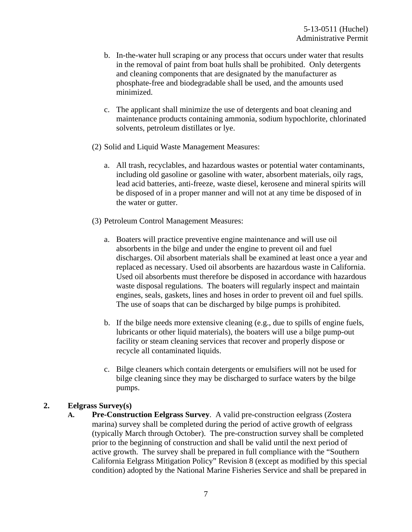- b. In-the-water hull scraping or any process that occurs under water that results in the removal of paint from boat hulls shall be prohibited. Only detergents and cleaning components that are designated by the manufacturer as phosphate-free and biodegradable shall be used, and the amounts used minimized.
- c. The applicant shall minimize the use of detergents and boat cleaning and maintenance products containing ammonia, sodium hypochlorite, chlorinated solvents, petroleum distillates or lye.
- (2) Solid and Liquid Waste Management Measures:
	- a. All trash, recyclables, and hazardous wastes or potential water contaminants, including old gasoline or gasoline with water, absorbent materials, oily rags, lead acid batteries, anti-freeze, waste diesel, kerosene and mineral spirits will be disposed of in a proper manner and will not at any time be disposed of in the water or gutter.
- (3) Petroleum Control Management Measures:
	- a. Boaters will practice preventive engine maintenance and will use oil absorbents in the bilge and under the engine to prevent oil and fuel discharges. Oil absorbent materials shall be examined at least once a year and replaced as necessary. Used oil absorbents are hazardous waste in California. Used oil absorbents must therefore be disposed in accordance with hazardous waste disposal regulations. The boaters will regularly inspect and maintain engines, seals, gaskets, lines and hoses in order to prevent oil and fuel spills. The use of soaps that can be discharged by bilge pumps is prohibited.
	- b. If the bilge needs more extensive cleaning (e.g., due to spills of engine fuels, lubricants or other liquid materials), the boaters will use a bilge pump-out facility or steam cleaning services that recover and properly dispose or recycle all contaminated liquids.
	- c. Bilge cleaners which contain detergents or emulsifiers will not be used for bilge cleaning since they may be discharged to surface waters by the bilge pumps.

#### **2. Eelgrass Survey(s)**

**A. Pre-Construction Eelgrass Survey**. A valid pre-construction eelgrass (Zostera marina) survey shall be completed during the period of active growth of eelgrass (typically March through October). The pre-construction survey shall be completed prior to the beginning of construction and shall be valid until the next period of active growth. The survey shall be prepared in full compliance with the "Southern California Eelgrass Mitigation Policy" Revision 8 (except as modified by this special condition) adopted by the National Marine Fisheries Service and shall be prepared in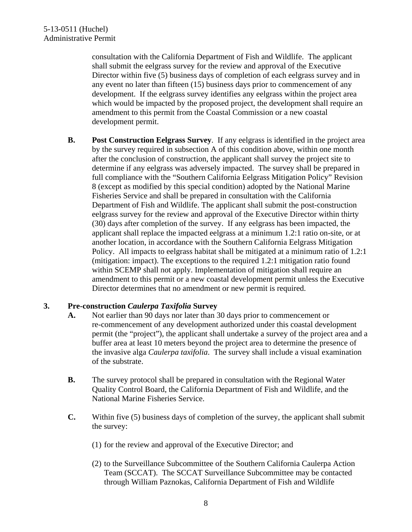consultation with the California Department of Fish and Wildlife. The applicant shall submit the eelgrass survey for the review and approval of the Executive Director within five (5) business days of completion of each eelgrass survey and in any event no later than fifteen (15) business days prior to commencement of any development. If the eelgrass survey identifies any eelgrass within the project area which would be impacted by the proposed project, the development shall require an amendment to this permit from the Coastal Commission or a new coastal development permit.

**B. Post Construction Eelgrass Survey**. If any eelgrass is identified in the project area by the survey required in subsection A of this condition above, within one month after the conclusion of construction, the applicant shall survey the project site to determine if any eelgrass was adversely impacted. The survey shall be prepared in full compliance with the "Southern California Eelgrass Mitigation Policy" Revision 8 (except as modified by this special condition) adopted by the National Marine Fisheries Service and shall be prepared in consultation with the California Department of Fish and Wildlife. The applicant shall submit the post-construction eelgrass survey for the review and approval of the Executive Director within thirty (30) days after completion of the survey. If any eelgrass has been impacted, the applicant shall replace the impacted eelgrass at a minimum 1.2:1 ratio on-site, or at another location, in accordance with the Southern California Eelgrass Mitigation Policy. All impacts to eelgrass habitat shall be mitigated at a minimum ratio of 1.2:1 (mitigation: impact). The exceptions to the required 1.2:1 mitigation ratio found within SCEMP shall not apply. Implementation of mitigation shall require an amendment to this permit or a new coastal development permit unless the Executive Director determines that no amendment or new permit is required.

#### **3. Pre-construction** *Caulerpa Taxifolia* **Survey**

- **A.** Not earlier than 90 days nor later than 30 days prior to commencement or re-commencement of any development authorized under this coastal development permit (the "project"), the applicant shall undertake a survey of the project area and a buffer area at least 10 meters beyond the project area to determine the presence of the invasive alga *Caulerpa taxifolia*. The survey shall include a visual examination of the substrate.
- **B.** The survey protocol shall be prepared in consultation with the Regional Water Quality Control Board, the California Department of Fish and Wildlife, and the National Marine Fisheries Service.
- **C.** Within five (5) business days of completion of the survey, the applicant shall submit the survey:
	- (1) for the review and approval of the Executive Director; and
	- (2) to the Surveillance Subcommittee of the Southern California Caulerpa Action Team (SCCAT). The SCCAT Surveillance Subcommittee may be contacted through William Paznokas, California Department of Fish and Wildlife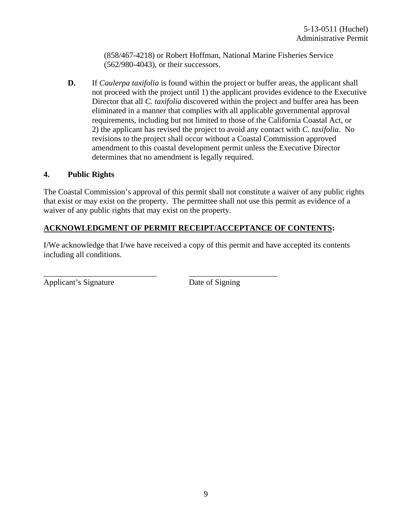(858/467-4218) or Robert Hoffman, National Marine Fisheries Service (562/980-4043), or their successors.

**D.** If *Caulerpa taxifolia* is found within the project or buffer areas, the applicant shall not proceed with the project until 1) the applicant provides evidence to the Executive Director that all *C. taxifolia* discovered within the project and buffer area has been eliminated in a manner that complies with all applicable governmental approval requirements, including but not limited to those of the California Coastal Act, or 2) the applicant has revised the project to avoid any contact with *C. taxifolia*. No revisions to the project shall occur without a Coastal Commission approved amendment to this coastal development permit unless the Executive Director determines that no amendment is legally required.

#### **4. Public Rights**

The Coastal Commission's approval of this permit shall not constitute a waiver of any public rights that exist or may exist on the property. The permittee shall not use this permit as evidence of a waiver of any public rights that may exist on the property.

#### **ACKNOWLEDGMENT OF PERMIT RECEIPT/ACCEPTANCE OF CONTENTS:**

\_\_\_\_\_\_\_\_\_\_\_\_\_\_\_\_\_\_\_\_\_\_\_\_\_\_\_\_ \_\_\_\_\_\_\_\_\_\_\_\_\_\_\_\_\_\_\_\_\_\_

I/We acknowledge that I/we have received a copy of this permit and have accepted its contents including all conditions.

Applicant's Signature Date of Signing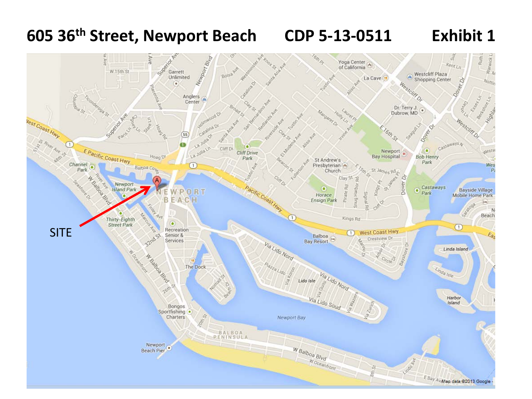### **605 36th Street, Newport Beach CDP 5-13-0511 Exhibit 1**

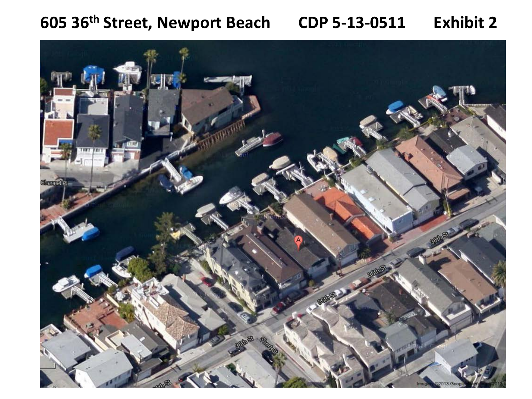## **605 36th Street, Newport Beach CDP 5-13-0511 Exhibit 2**

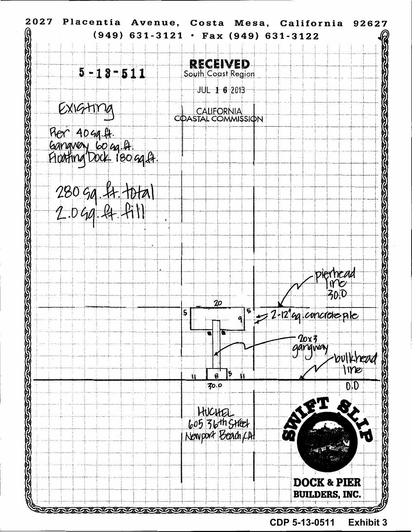

**CDP 5-13-0511 Exhibit 3**